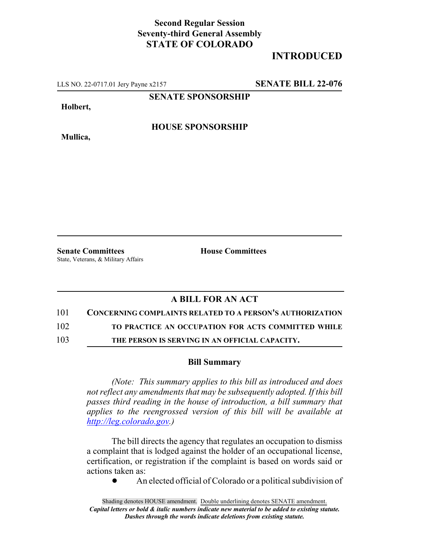### **Second Regular Session Seventy-third General Assembly STATE OF COLORADO**

# **INTRODUCED**

LLS NO. 22-0717.01 Jery Payne x2157 **SENATE BILL 22-076**

**SENATE SPONSORSHIP**

**Holbert,**

**Mullica,**

**HOUSE SPONSORSHIP**

State, Veterans, & Military Affairs

**Senate Committees House Committees** 

# **A BILL FOR AN ACT**

#### 101 **CONCERNING COMPLAINTS RELATED TO A PERSON'S AUTHORIZATION**

102 **TO PRACTICE AN OCCUPATION FOR ACTS COMMITTED WHILE**

103 **THE PERSON IS SERVING IN AN OFFICIAL CAPACITY.**

#### **Bill Summary**

*(Note: This summary applies to this bill as introduced and does not reflect any amendments that may be subsequently adopted. If this bill passes third reading in the house of introduction, a bill summary that applies to the reengrossed version of this bill will be available at http://leg.colorado.gov.)*

The bill directs the agency that regulates an occupation to dismiss a complaint that is lodged against the holder of an occupational license, certification, or registration if the complaint is based on words said or actions taken as:

• An elected official of Colorado or a political subdivision of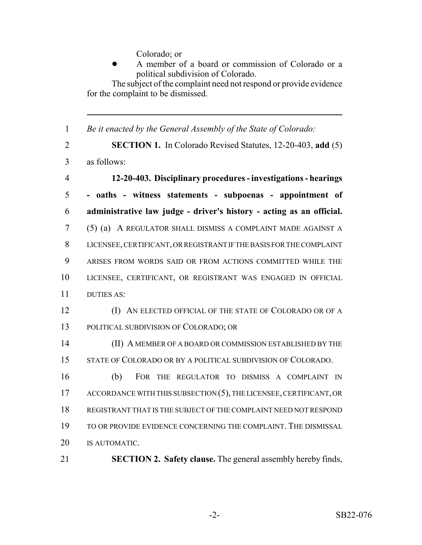Colorado; or

! A member of a board or commission of Colorado or a political subdivision of Colorado.

The subject of the complaint need not respond or provide evidence for the complaint to be dismissed.

*Be it enacted by the General Assembly of the State of Colorado:*

 **SECTION 1.** In Colorado Revised Statutes, 12-20-403, **add** (5) as follows:

- **12-20-403. Disciplinary procedures investigations hearings - oaths - witness statements - subpoenas - appointment of administrative law judge - driver's history - acting as an official.** (5) (a) A REGULATOR SHALL DISMISS A COMPLAINT MADE AGAINST A LICENSEE, CERTIFICANT, OR REGISTRANT IF THE BASIS FOR THE COMPLAINT ARISES FROM WORDS SAID OR FROM ACTIONS COMMITTED WHILE THE LICENSEE, CERTIFICANT, OR REGISTRANT WAS ENGAGED IN OFFICIAL DUTIES AS:
- (I) AN ELECTED OFFICIAL OF THE STATE OF COLORADO OR OF A POLITICAL SUBDIVISION OF COLORADO; OR

 (II) A MEMBER OF A BOARD OR COMMISSION ESTABLISHED BY THE STATE OF COLORADO OR BY A POLITICAL SUBDIVISION OF COLORADO.

 (b) FOR THE REGULATOR TO DISMISS A COMPLAINT IN 17 ACCORDANCE WITH THIS SUBSECTION (5), THE LICENSEE, CERTIFICANT, OR REGISTRANT THAT IS THE SUBJECT OF THE COMPLAINT NEED NOT RESPOND TO OR PROVIDE EVIDENCE CONCERNING THE COMPLAINT. THE DISMISSAL IS AUTOMATIC.

**SECTION 2. Safety clause.** The general assembly hereby finds,